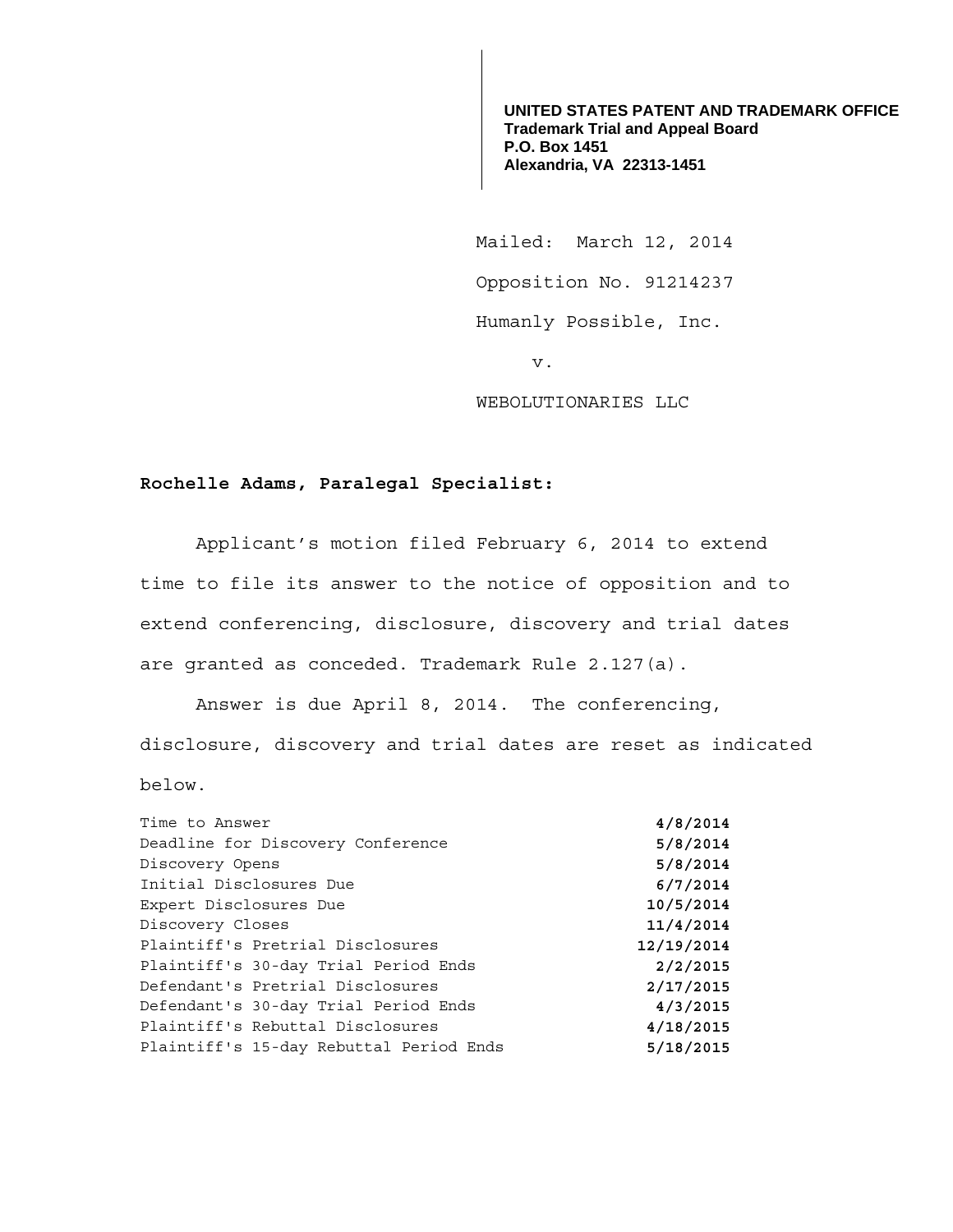**UNITED STATES PATENT AND TRADEMARK OFFICE Trademark Trial and Appeal Board P.O. Box 1451 Alexandria, VA 22313-1451**

Mailed: March 12, 2014 Opposition No. 91214237 Humanly Possible, Inc.

v.

WEBOLUTIONARIES LLC

## **Rochelle Adams, Paralegal Specialist:**

 Applicant's motion filed February 6, 2014 to extend time to file its answer to the notice of opposition and to extend conferencing, disclosure, discovery and trial dates are granted as conceded. Trademark Rule 2.127(a).

 Answer is due April 8, 2014. The conferencing, disclosure, discovery and trial dates are reset as indicated below.

| Time to Answer                          | 4/8/2014   |
|-----------------------------------------|------------|
| Deadline for Discovery Conference       | 5/8/2014   |
| Discovery Opens                         | 5/8/2014   |
| Initial Disclosures Due                 | 6/7/2014   |
| Expert Disclosures Due                  | 10/5/2014  |
| Discovery Closes                        | 11/4/2014  |
| Plaintiff's Pretrial Disclosures        | 12/19/2014 |
| Plaintiff's 30-day Trial Period Ends    | 2/2/2015   |
| Defendant's Pretrial Disclosures        | 2/17/2015  |
| Defendant's 30-day Trial Period Ends    | 4/3/2015   |
| Plaintiff's Rebuttal Disclosures        | 4/18/2015  |
| Plaintiff's 15-day Rebuttal Period Ends | 5/18/2015  |